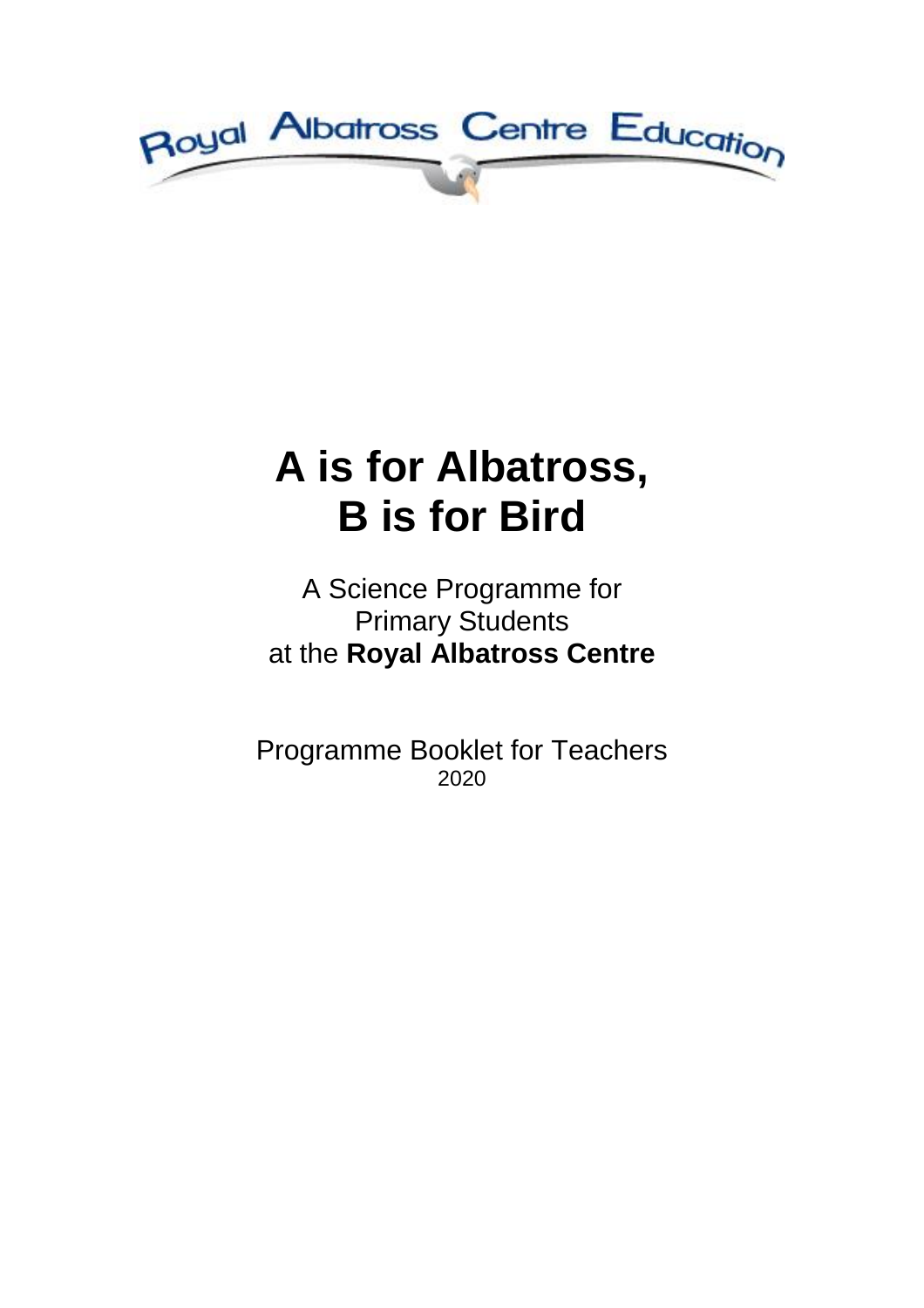

# **A is for Albatross, B is for Bird**

## A Science Programme for Primary Students at the **Royal Albatross Centre**

Programme Booklet for Teachers 2020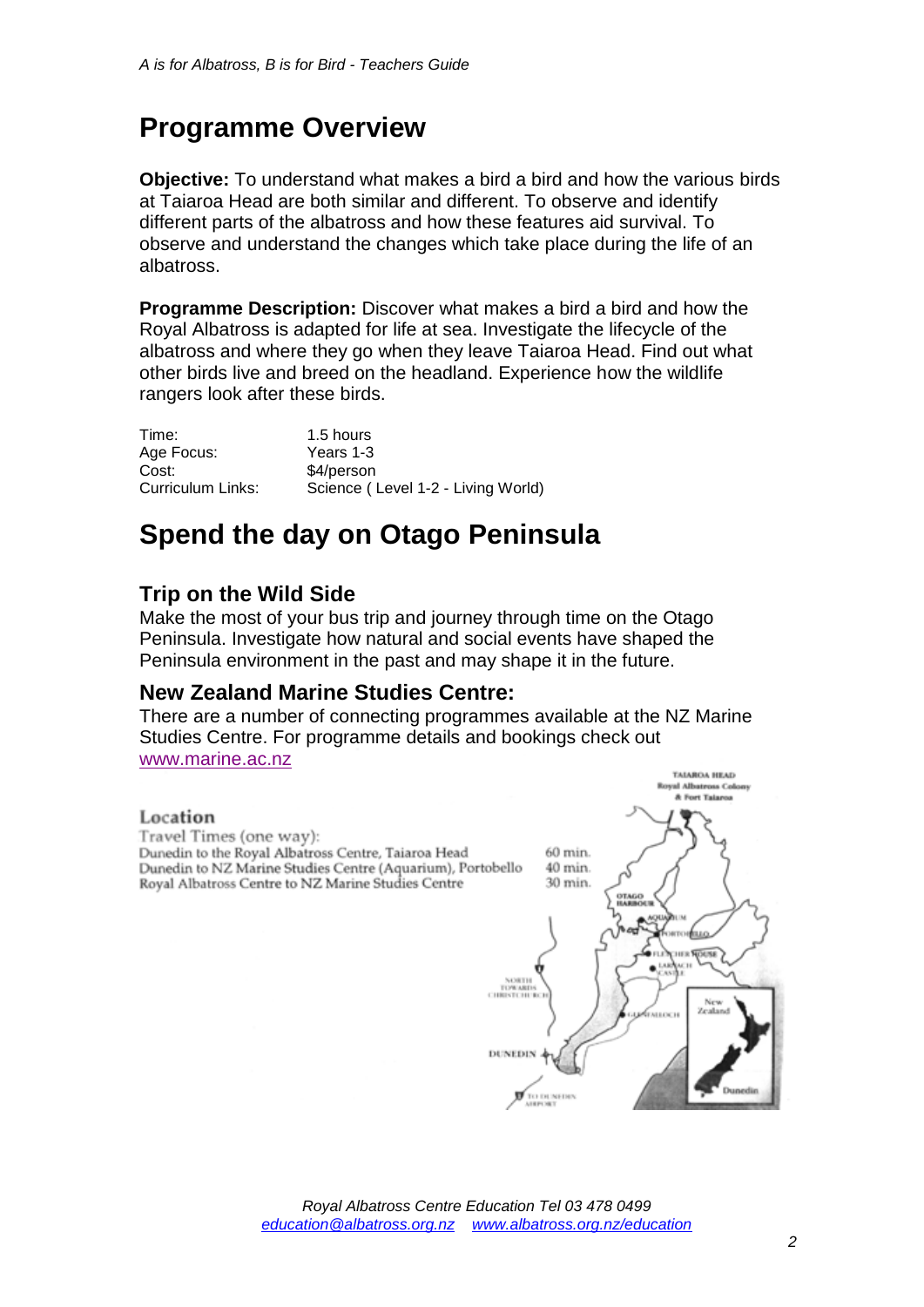## **Programme Overview**

**Objective:** To understand what makes a bird a bird and how the various birds at Taiaroa Head are both similar and different. To observe and identify different parts of the albatross and how these features aid survival. To observe and understand the changes which take place during the life of an albatross.

**Programme Description:** Discover what makes a bird a bird and how the Royal Albatross is adapted for life at sea. Investigate the lifecycle of the albatross and where they go when they leave Taiaroa Head. Find out what other birds live and breed on the headland. Experience how the wildlife rangers look after these birds.

Time: 1.5 hours Age Focus: Years 1-3<br>Cost: \$4/person Cost: \$4/person<br>Curriculum Links: Science (1

Science ( Level 1-2 - Living World)

## **Spend the day on Otago Peninsula**

#### **Trip on the Wild Side**

Make the most of your bus trip and journey through time on the Otago Peninsula. Investigate how natural and social events have shaped the Peninsula environment in the past and may shape it in the future.

#### **New Zealand Marine Studies Centre:**

There are a number of connecting programmes available at the NZ Marine Studies Centre. For programme details and bookings check out [www.marine.ac.nz](http://www.marine.ac.nz/)

### TAIAROA HEAD **Royal Albatross Cole** Location Travel Times (one way): Dunedin to the Royal Albatross Centre, Taiaroa Head 60 min. Dunedin to NZ Marine Studies Centre (Aquarium), Portobello 40 min. 30 min. Royal Albatross Centre to NZ Marine Studies Centre ≢ய⊙ DUNEDI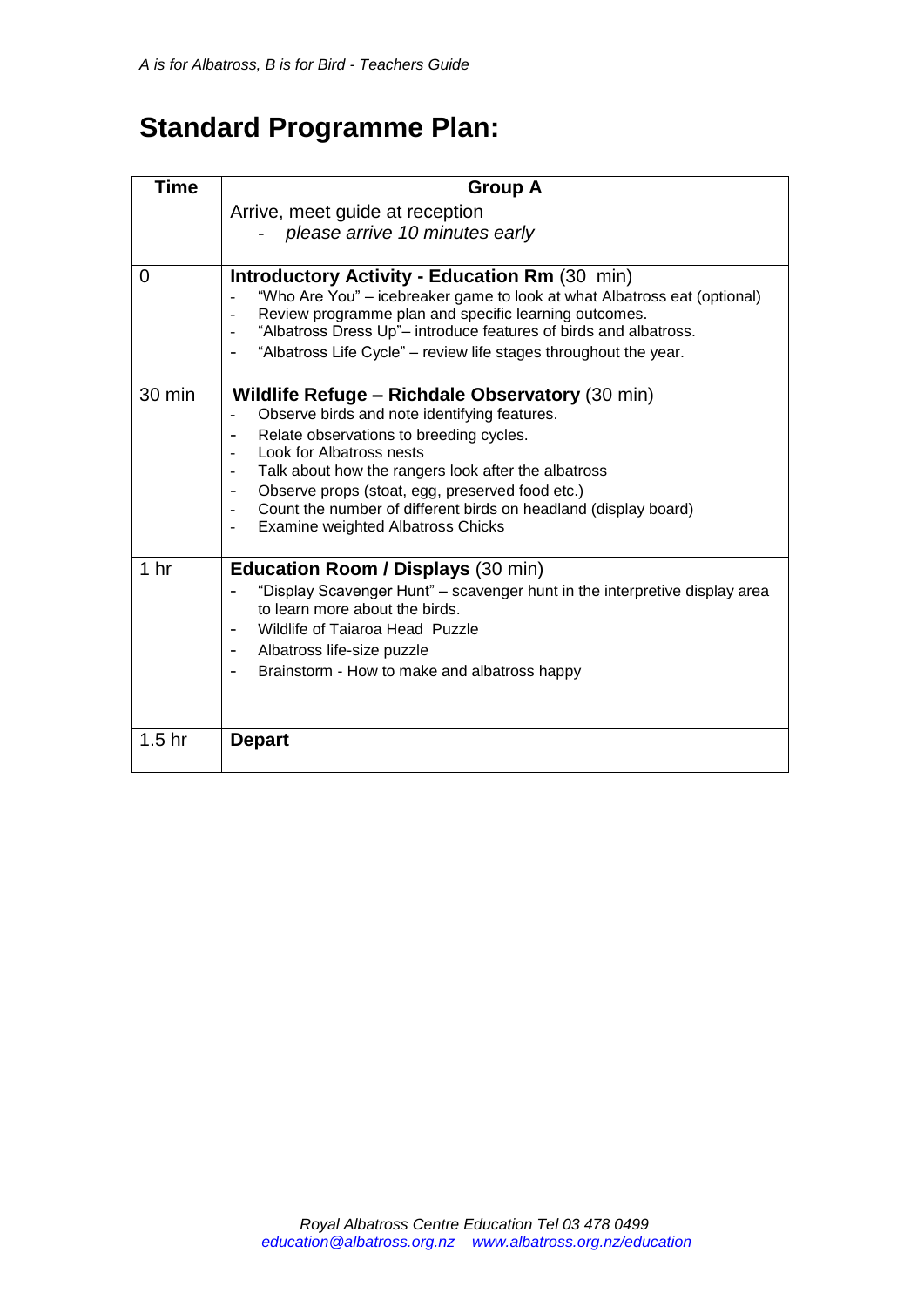## **Standard Programme Plan:**

| Time              | <b>Group A</b>                                                                                                                                                                                                                                                                                                                                                                                                                                |
|-------------------|-----------------------------------------------------------------------------------------------------------------------------------------------------------------------------------------------------------------------------------------------------------------------------------------------------------------------------------------------------------------------------------------------------------------------------------------------|
|                   | Arrive, meet guide at reception<br>please arrive 10 minutes early                                                                                                                                                                                                                                                                                                                                                                             |
| 0                 | Introductory Activity - Education Rm (30 min)<br>"Who Are You" - icebreaker game to look at what Albatross eat (optional)<br>Review programme plan and specific learning outcomes.<br>"Albatross Dress Up"- introduce features of birds and albatross.<br>$\overline{\phantom{a}}$<br>"Albatross Life Cycle" – review life stages throughout the year.                                                                                        |
| $30 \text{ min}$  | Wildlife Refuge - Richdale Observatory (30 min)<br>Observe birds and note identifying features.<br>Relate observations to breeding cycles.<br>Look for Albatross nests<br>Talk about how the rangers look after the albatross<br>Observe props (stoat, egg, preserved food etc.)<br>Count the number of different birds on headland (display board)<br>$\overline{a}$<br><b>Examine weighted Albatross Chicks</b><br>$\overline{\phantom{a}}$ |
| 1 <sub>hr</sub>   | <b>Education Room / Displays (30 min)</b><br>"Display Scavenger Hunt" - scavenger hunt in the interpretive display area<br>to learn more about the birds.<br>Wildlife of Taiaroa Head Puzzle<br>Albatross life-size puzzle<br>$\overline{\phantom{a}}$<br>Brainstorm - How to make and albatross happy                                                                                                                                        |
| 1.5 <sub>hr</sub> | <b>Depart</b>                                                                                                                                                                                                                                                                                                                                                                                                                                 |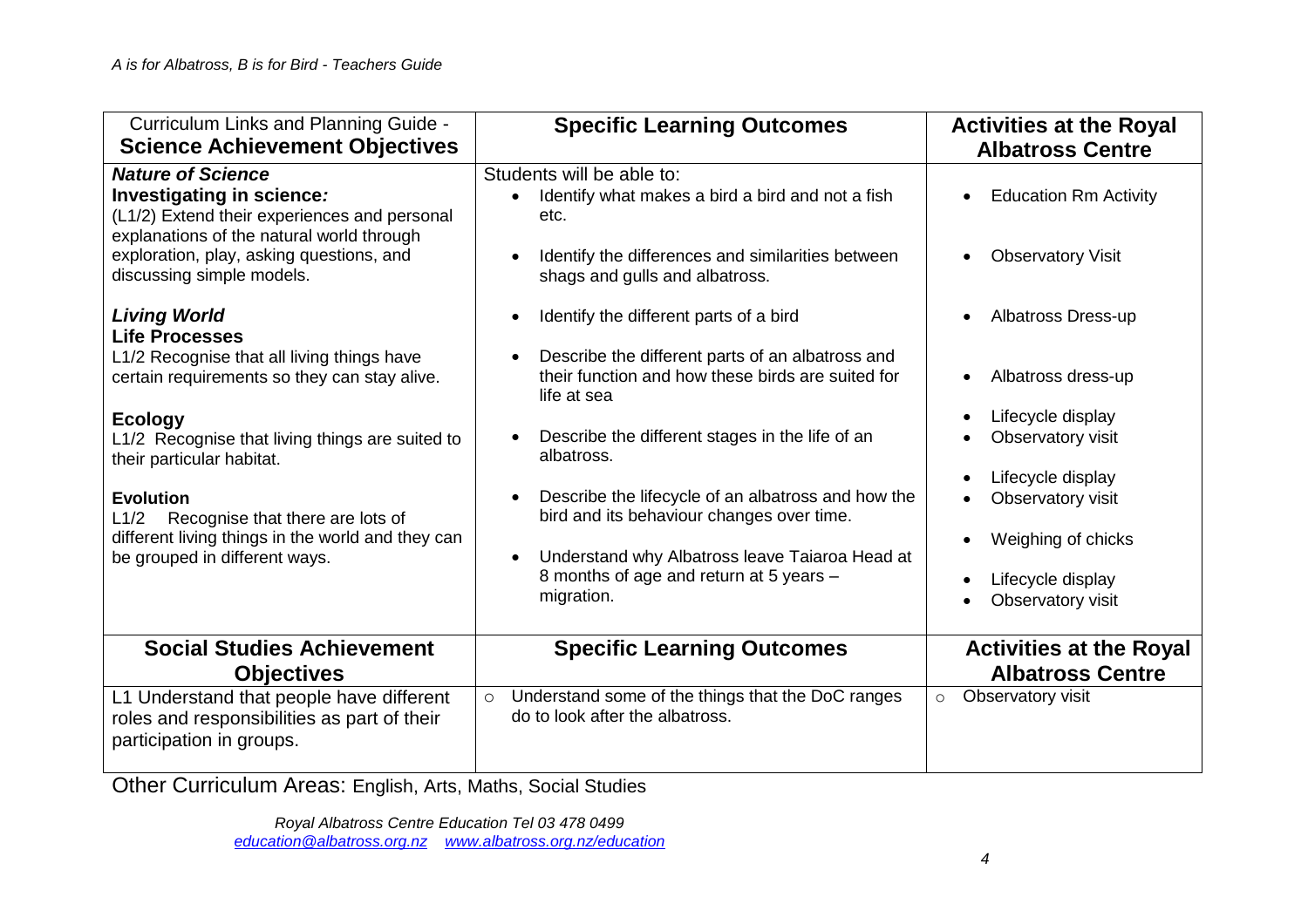| Curriculum Links and Planning Guide -<br><b>Science Achievement Objectives</b>                                                                                                                                                                                                                                                                                                                                                                                                                                                                                                                                                    | <b>Specific Learning Outcomes</b>                                                                                                                                                                                                                                                                                                                                                                                                                                                                                                                                                                                             | <b>Activities at the Royal</b><br><b>Albatross Centre</b>                                                                                                                                                                                                |
|-----------------------------------------------------------------------------------------------------------------------------------------------------------------------------------------------------------------------------------------------------------------------------------------------------------------------------------------------------------------------------------------------------------------------------------------------------------------------------------------------------------------------------------------------------------------------------------------------------------------------------------|-------------------------------------------------------------------------------------------------------------------------------------------------------------------------------------------------------------------------------------------------------------------------------------------------------------------------------------------------------------------------------------------------------------------------------------------------------------------------------------------------------------------------------------------------------------------------------------------------------------------------------|----------------------------------------------------------------------------------------------------------------------------------------------------------------------------------------------------------------------------------------------------------|
| <b>Nature of Science</b><br>Investigating in science:<br>(L1/2) Extend their experiences and personal<br>explanations of the natural world through<br>exploration, play, asking questions, and<br>discussing simple models.<br><b>Living World</b><br><b>Life Processes</b><br>L1/2 Recognise that all living things have<br>certain requirements so they can stay alive.<br><b>Ecology</b><br>L1/2 Recognise that living things are suited to<br>their particular habitat.<br><b>Evolution</b><br>L1/2<br>Recognise that there are lots of<br>different living things in the world and they can<br>be grouped in different ways. | Students will be able to:<br>Identify what makes a bird a bird and not a fish<br>etc.<br>Identify the differences and similarities between<br>shags and gulls and albatross.<br>Identify the different parts of a bird<br>Describe the different parts of an albatross and<br>their function and how these birds are suited for<br>life at sea<br>Describe the different stages in the life of an<br>albatross.<br>Describe the lifecycle of an albatross and how the<br>bird and its behaviour changes over time.<br>Understand why Albatross leave Taiaroa Head at<br>8 months of age and return at 5 years -<br>migration. | <b>Education Rm Activity</b><br><b>Observatory Visit</b><br>Albatross Dress-up<br>Albatross dress-up<br>Lifecycle display<br>Observatory visit<br>Lifecycle display<br>Observatory visit<br>Weighing of chicks<br>Lifecycle display<br>Observatory visit |
| <b>Social Studies Achievement</b><br><b>Objectives</b>                                                                                                                                                                                                                                                                                                                                                                                                                                                                                                                                                                            | <b>Specific Learning Outcomes</b>                                                                                                                                                                                                                                                                                                                                                                                                                                                                                                                                                                                             | <b>Activities at the Royal</b><br><b>Albatross Centre</b>                                                                                                                                                                                                |
| L1 Understand that people have different<br>roles and responsibilities as part of their<br>participation in groups.                                                                                                                                                                                                                                                                                                                                                                                                                                                                                                               | Understand some of the things that the DoC ranges<br>$\circ$<br>do to look after the albatross.                                                                                                                                                                                                                                                                                                                                                                                                                                                                                                                               | Observatory visit<br>$\circ$                                                                                                                                                                                                                             |

Other Curriculum Areas: English, Arts, Maths, Social Studies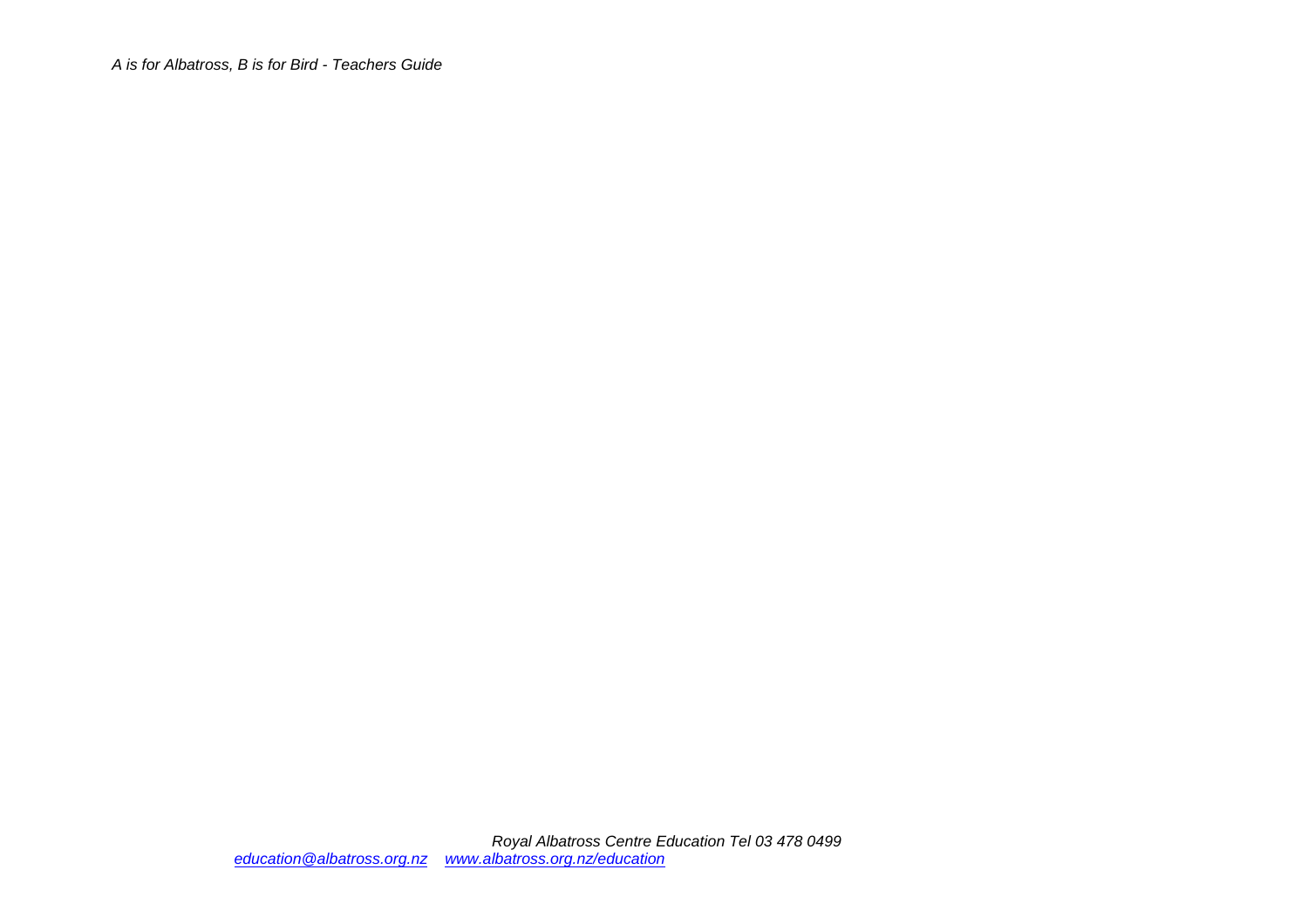*A is for Albatross, B is for Bird - Teachers Guide*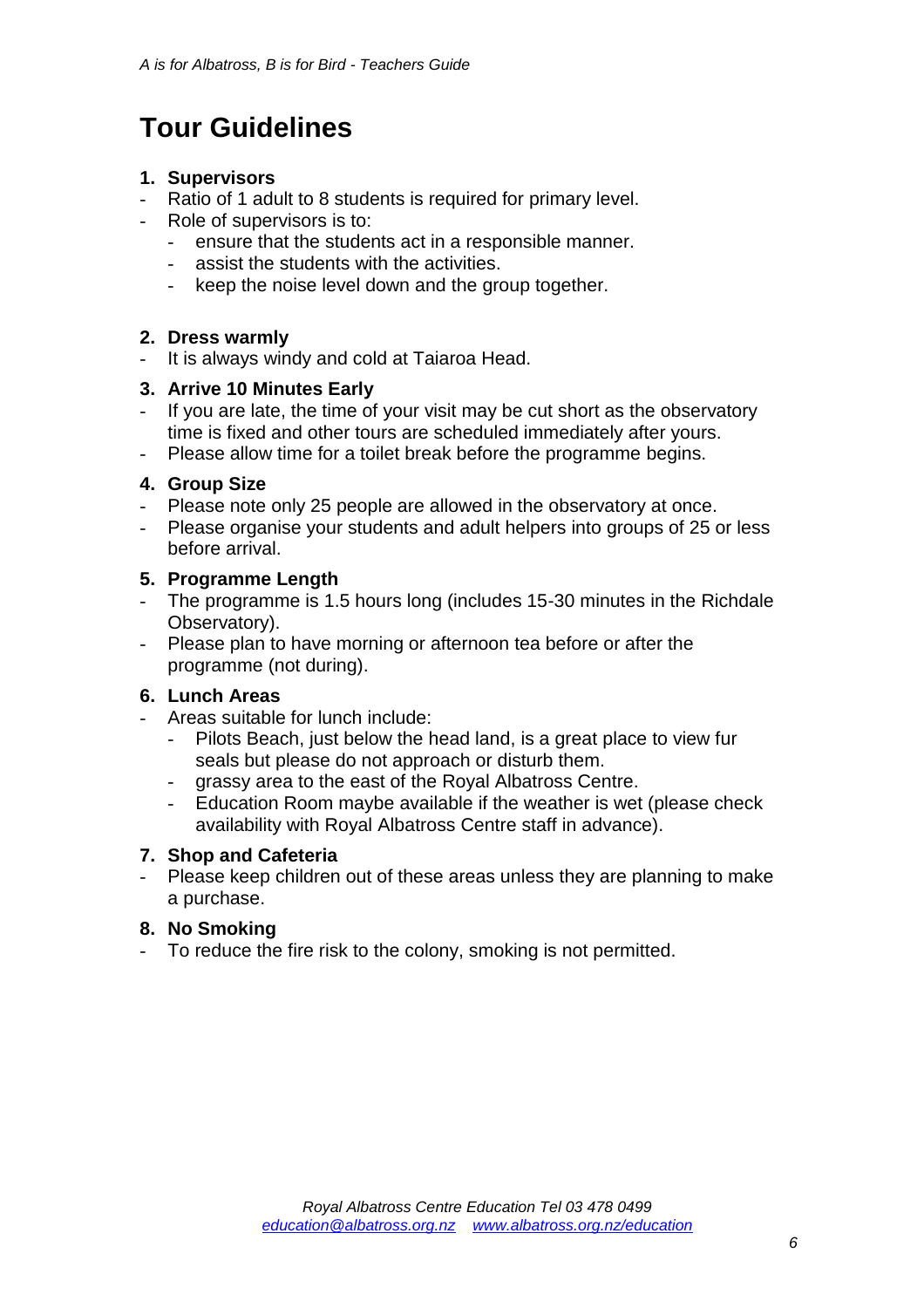## **Tour Guidelines**

#### **1. Supervisors**

- Ratio of 1 adult to 8 students is required for primary level.
- Role of supervisors is to:
	- ensure that the students act in a responsible manner.
	- assist the students with the activities.
	- keep the noise level down and the group together.

#### **2. Dress warmly**

It is always windy and cold at Taiaroa Head.

#### **3. Arrive 10 Minutes Early**

- If you are late, the time of your visit may be cut short as the observatory time is fixed and other tours are scheduled immediately after yours.
- Please allow time for a toilet break before the programme begins.

#### **4. Group Size**

- Please note only 25 people are allowed in the observatory at once.
- Please organise your students and adult helpers into groups of 25 or less before arrival.

#### **5. Programme Length**

- The programme is 1.5 hours long (includes 15-30 minutes in the Richdale Observatory).
- Please plan to have morning or afternoon tea before or after the programme (not during).

#### **6. Lunch Areas**

- Areas suitable for lunch include:
	- Pilots Beach, just below the head land, is a great place to view fur seals but please do not approach or disturb them.
	- grassy area to the east of the Royal Albatross Centre.
	- Education Room maybe available if the weather is wet (please check availability with Royal Albatross Centre staff in advance).

#### **7. Shop and Cafeteria**

Please keep children out of these areas unless they are planning to make a purchase.

#### **8. No Smoking**

To reduce the fire risk to the colony, smoking is not permitted.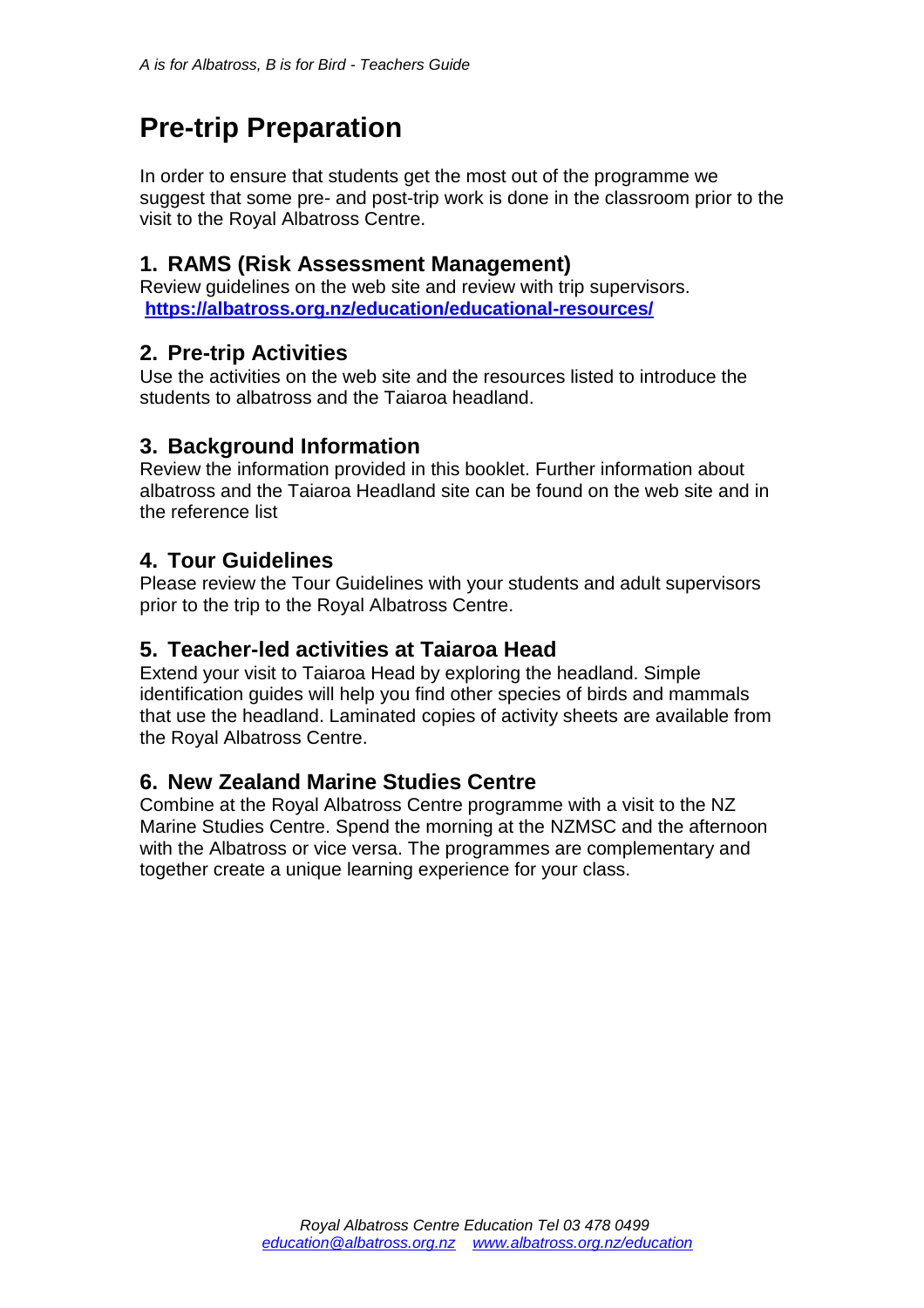## **Pre-trip Preparation**

In order to ensure that students get the most out of the programme we suggest that some pre- and post-trip work is done in the classroom prior to the visit to the Royal Albatross Centre.

#### **1. RAMS (Risk Assessment Management)**

Review guidelines on the web site and review with trip supervisors. **<https://albatross.org.nz/education/educational-resources/>**

#### **2. Pre-trip Activities**

Use the activities on the web site and the resources listed to introduce the students to albatross and the Taiaroa headland.

#### **3. Background Information**

Review the information provided in this booklet. Further information about albatross and the Taiaroa Headland site can be found on the web site and in the reference list

#### **4. Tour Guidelines**

Please review the Tour Guidelines with your students and adult supervisors prior to the trip to the Royal Albatross Centre.

#### **5. Teacher-led activities at Taiaroa Head**

Extend your visit to Taiaroa Head by exploring the headland. Simple identification guides will help you find other species of birds and mammals that use the headland. Laminated copies of activity sheets are available from the Royal Albatross Centre.

#### **6. New Zealand Marine Studies Centre**

Combine at the Royal Albatross Centre programme with a visit to the NZ Marine Studies Centre. Spend the morning at the NZMSC and the afternoon with the Albatross or vice versa. The programmes are complementary and together create a unique learning experience for your class.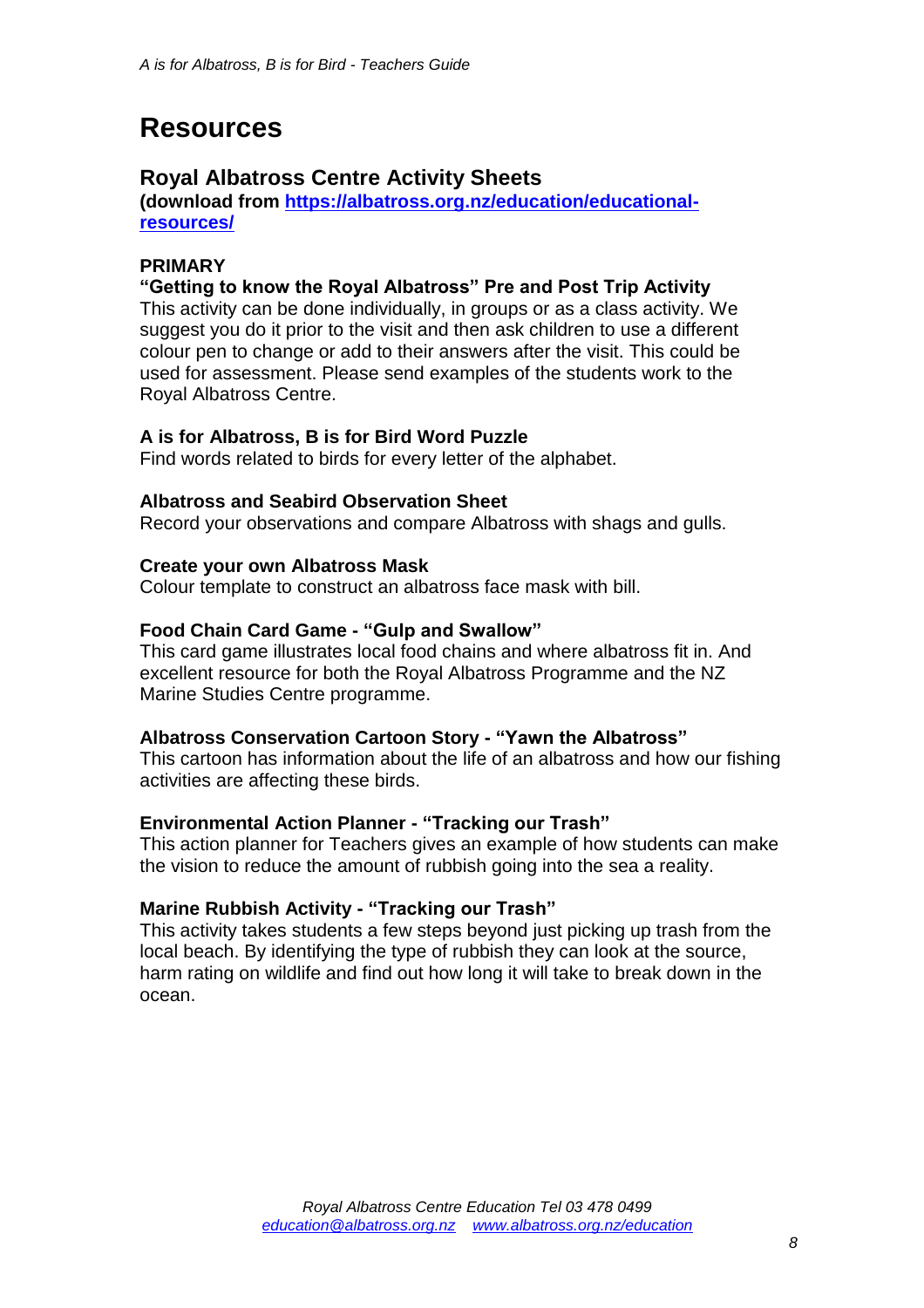### **Resources**

#### **Royal Albatross Centre Activity Sheets**

**(download from [https://albatross.org.nz/education/educational](https://albatross.org.nz/education/educational-resources/)[resources/](https://albatross.org.nz/education/educational-resources/)**

#### **PRIMARY**

#### **"Getting to know the Royal Albatross" Pre and Post Trip Activity**

This activity can be done individually, in groups or as a class activity. We suggest you do it prior to the visit and then ask children to use a different colour pen to change or add to their answers after the visit. This could be used for assessment. Please send examples of the students work to the Royal Albatross Centre.

#### **A is for Albatross, B is for Bird Word Puzzle**

Find words related to birds for every letter of the alphabet.

#### **Albatross and Seabird Observation Sheet**

Record your observations and compare Albatross with shags and gulls.

#### **Create your own Albatross Mask**

Colour template to construct an albatross face mask with bill.

#### **Food Chain Card Game - "Gulp and Swallow"**

This card game illustrates local food chains and where albatross fit in. And excellent resource for both the Royal Albatross Programme and the NZ Marine Studies Centre programme.

#### **Albatross Conservation Cartoon Story - "Yawn the Albatross"**

This cartoon has information about the life of an albatross and how our fishing activities are affecting these birds.

#### **Environmental Action Planner - "Tracking our Trash"**

This action planner for Teachers gives an example of how students can make the vision to reduce the amount of rubbish going into the sea a reality.

#### **Marine Rubbish Activity - "Tracking our Trash"**

This activity takes students a few steps beyond just picking up trash from the local beach. By identifying the type of rubbish they can look at the source, harm rating on wildlife and find out how long it will take to break down in the ocean.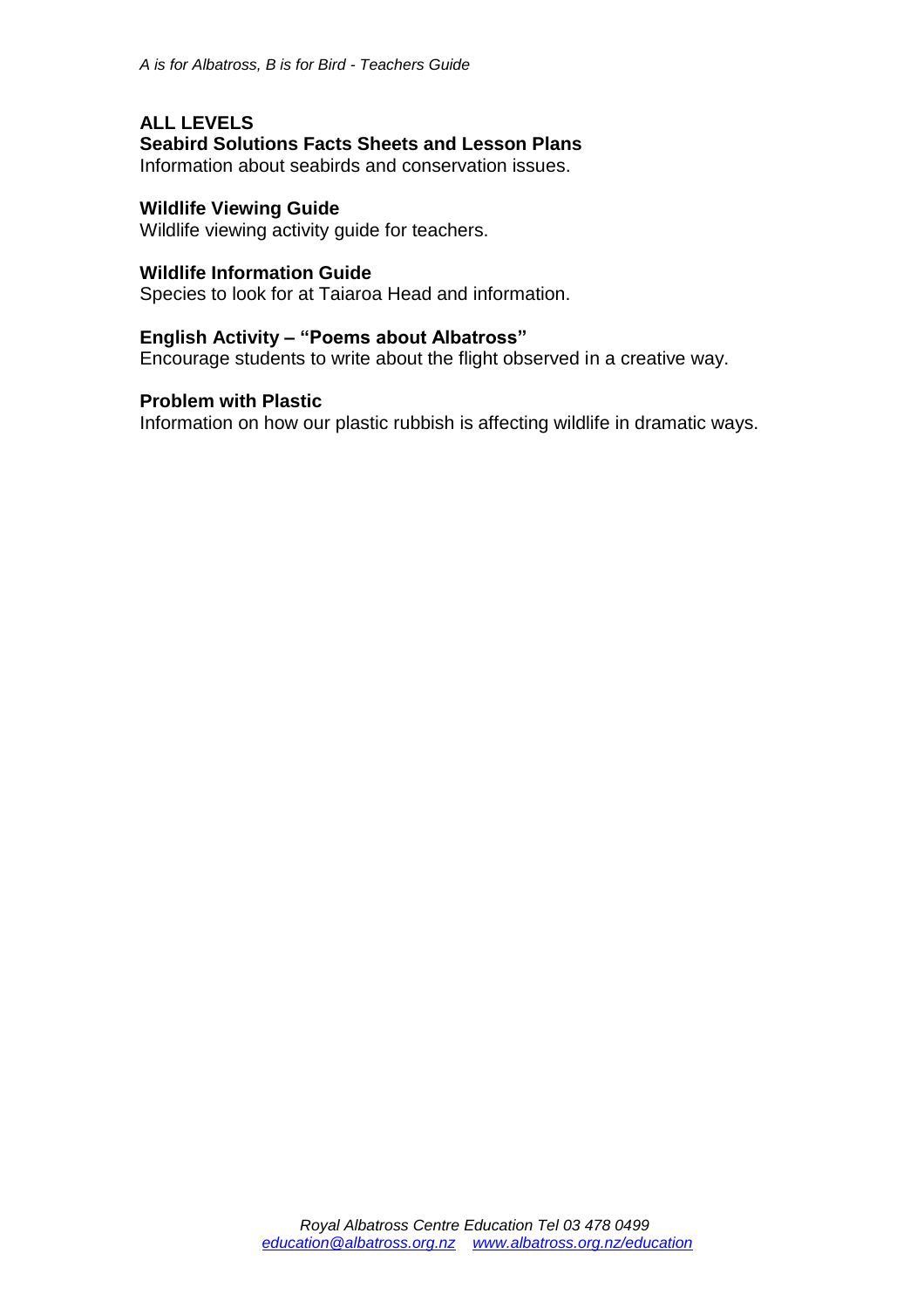#### **ALL LEVELS Seabird Solutions Facts Sheets and Lesson Plans**

Information about seabirds and conservation issues.

#### **Wildlife Viewing Guide**

Wildlife viewing activity guide for teachers.

#### **Wildlife Information Guide**

Species to look for at Taiaroa Head and information.

#### **English Activity – "Poems about Albatross"**

Encourage students to write about the flight observed in a creative way.

#### **Problem with Plastic**

Information on how our plastic rubbish is affecting wildlife in dramatic ways.